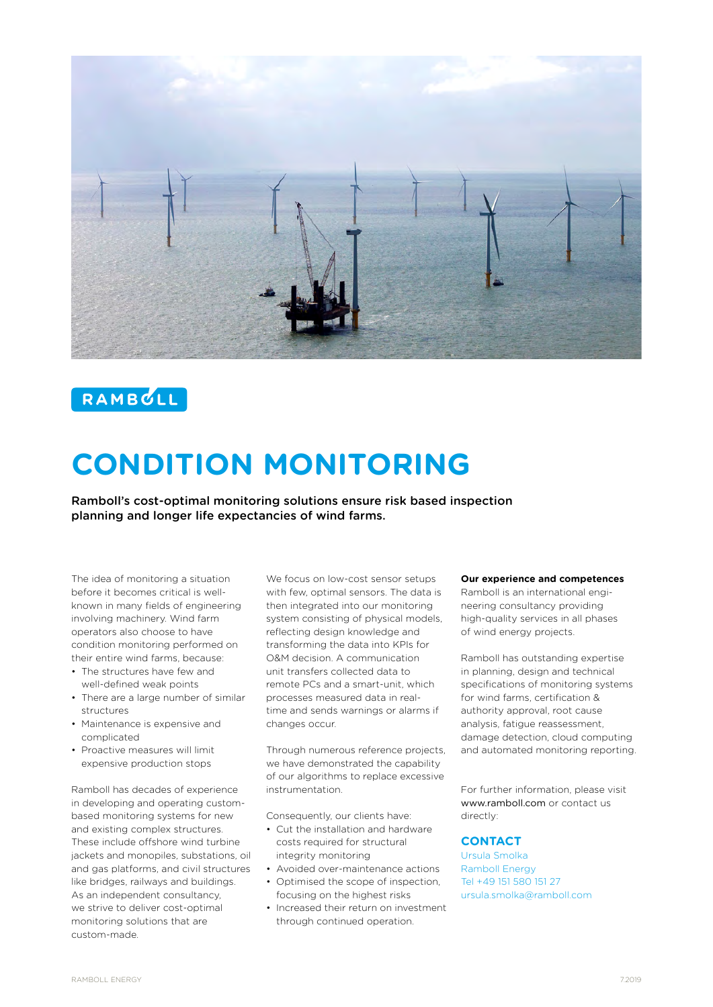

## RAMBULL

# **CONDITION MONITORING**

Ramboll's cost-optimal monitoring solutions ensure risk based inspection planning and longer life expectancies of wind farms.

The idea of monitoring a situation before it becomes critical is wellknown in many fields of engineering involving machinery. Wind farm operators also choose to have condition monitoring performed on their entire wind farms, because:

- The structures have few and well-defined weak points
- There are a large number of similar structures
- Maintenance is expensive and complicated
- Proactive measures will limit expensive production stops

Ramboll has decades of experience in developing and operating custombased monitoring systems for new and existing complex structures. These include offshore wind turbine jackets and monopiles, substations, oil and gas platforms, and civil structures like bridges, railways and buildings. As an independent consultancy, we strive to deliver cost-optimal monitoring solutions that are custom-made.

We focus on low-cost sensor setups with few, optimal sensors. The data is then integrated into our monitoring system consisting of physical models, reflecting design knowledge and transforming the data into KPIs for O&M decision. A communication unit transfers collected data to remote PCs and a smart-unit, which processes measured data in realtime and sends warnings or alarms if changes occur.

Through numerous reference projects, we have demonstrated the capability of our algorithms to replace excessive instrumentation.

Consequently, our clients have:

- Cut the installation and hardware costs required for structural integrity monitoring
- Avoided over-maintenance actions
- Optimised the scope of inspection, focusing on the highest risks
- Increased their return on investment through continued operation.

#### **Our experience and competences**

Ramboll is an international engineering consultancy providing high-quality services in all phases of wind energy projects.

Ramboll has outstanding expertise in planning, design and technical specifications of monitoring systems for wind farms, certification & authority approval, root cause analysis, fatigue reassessment, damage detection, cloud computing and automated monitoring reporting.

For further information, please visit www.ramboll.com or contact us directly:

#### **CONTACT**

Ursula Smolka Ramboll Energy Tel +49 151 580 151 27 ursula.smolka@ramboll.com